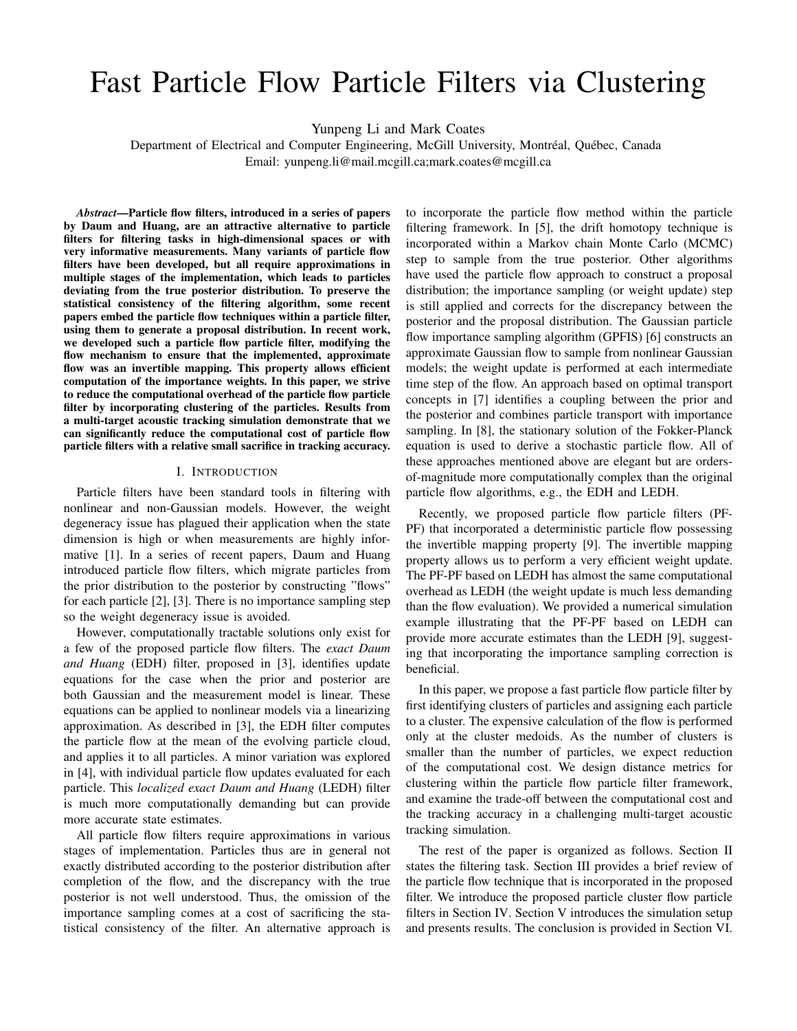# Fast Particle Flow Particle Filters via Clustering

Yunpeng Li and Mark Coates

Department of Electrical and Computer Engineering, McGill University, Montréal, Québec, Canada Email: yunpeng.li@mail.mcgill.ca;mark.coates@mcgill.ca

*Abstract*—Particle flow filters, introduced in a series of papers by Daum and Huang, are an attractive alternative to particle filters for filtering tasks in high-dimensional spaces or with very informative measurements. Many variants of particle flow filters have been developed, but all require approximations in multiple stages of the implementation, which leads to particles deviating from the true posterior distribution. To preserve the statistical consistency of the filtering algorithm, some recent papers embed the particle flow techniques within a particle filter, using them to generate a proposal distribution. In recent work, we developed such a particle flow particle filter, modifying the flow mechanism to ensure that the implemented, approximate flow was an invertible mapping. This property allows efficient computation of the importance weights. In this paper, we strive to reduce the computational overhead of the particle flow particle filter by incorporating clustering of the particles. Results from a multi-target acoustic tracking simulation demonstrate that we can significantly reduce the computational cost of particle flow particle filters with a relative small sacrifice in tracking accuracy.

### I. INTRODUCTION

Particle filters have been standard tools in filtering with nonlinear and non-Gaussian models. However, the weight degeneracy issue has plagued their application when the state dimension is high or when measurements are highly informative [1]. In a series of recent papers, Daum and Huang introduced particle flow filters, which migrate particles from the prior distribution to the posterior by constructing "flows" for each particle [2], [3]. There is no importance sampling step so the weight degeneracy issue is avoided.

However, computationally tractable solutions only exist for a few of the proposed particle flow filters. The *exact Daum and Huang* (EDH) filter, proposed in [3], identifies update equations for the case when the prior and posterior are both Gaussian and the measurement model is linear. These equations can be applied to nonlinear models via a linearizing approximation. As described in [3], the EDH filter computes the particle flow at the mean of the evolving particle cloud, and applies it to all particles. A minor variation was explored in [4], with individual particle flow updates evaluated for each particle. This *localized exact Daum and Huang* (LEDH) filter is much more computationally demanding but can provide more accurate state estimates.

All particle flow filters require approximations in various stages of implementation. Particles thus are in general not exactly distributed according to the posterior distribution after completion of the flow, and the discrepancy with the true posterior is not well understood. Thus, the omission of the importance sampling comes at a cost of sacrificing the statistical consistency of the filter. An alternative approach is

to incorporate the particle flow method within the particle filtering framework. In [5], the drift homotopy technique is incorporated within a Markov chain Monte Carlo (MCMC) step to sample from the true posterior. Other algorithms have used the particle flow approach to construct a proposal distribution; the importance sampling (or weight update) step is still applied and corrects for the discrepancy between the posterior and the proposal distribution. The Gaussian particle flow importance sampling algorithm (GPFIS) [6] constructs an approximate Gaussian flow to sample from nonlinear Gaussian models; the weight update is performed at each intermediate time step of the flow. An approach based on optimal transport concepts in [7] identifies a coupling between the prior and the posterior and combines particle transport with importance sampling. In [8], the stationary solution of the Fokker-Planck equation is used to derive a stochastic particle flow. All of these approaches mentioned above are elegant but are ordersof-magnitude more computationally complex than the original particle flow algorithms, e.g., the EDH and LEDH.

Recently, we proposed particle flow particle filters (PF-PF) that incorporated a deterministic particle flow possessing the invertible mapping property [9]. The invertible mapping property allows us to perform a very efficient weight update. The PF-PF based on LEDH has almost the same computational overhead as LEDH (the weight update is much less demanding than the flow evaluation). We provided a numerical simulation example illustrating that the PF-PF based on LEDH can provide more accurate estimates than the LEDH [9], suggesting that incorporating the importance sampling correction is beneficial.

In this paper, we propose a fast particle flow particle filter by first identifying clusters of particles and assigning each particle to a cluster. The expensive calculation of the flow is performed only at the cluster medoids. As the number of clusters is smaller than the number of particles, we expect reduction of the computational cost. We design distance metrics for clustering within the particle flow particle filter framework, and examine the trade-off between the computational cost and the tracking accuracy in a challenging multi-target acoustic tracking simulation.

The rest of the paper is organized as follows. Section II states the filtering task. Section III provides a brief review of the particle flow technique that is incorporated in the proposed filter. We introduce the proposed particle cluster flow particle filters in Section IV. Section V introduces the simulation setup and presents results. The conclusion is provided in Section VI.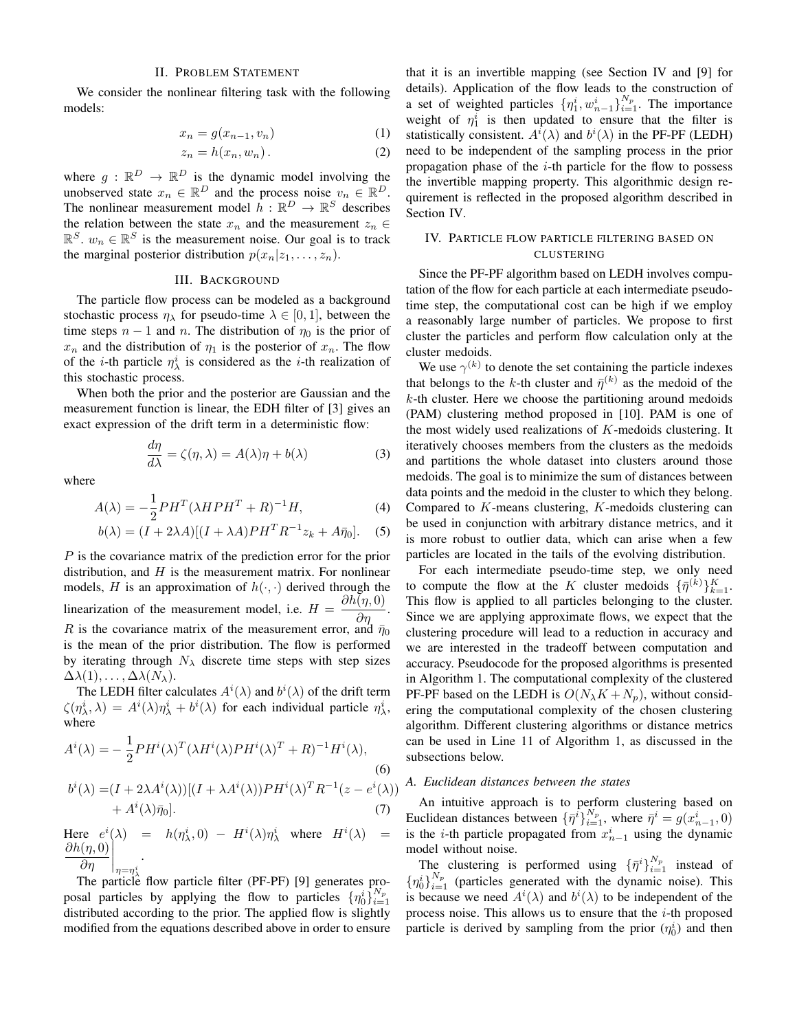# II. PROBLEM STATEMENT

We consider the nonlinear filtering task with the following models:

$$
x_n = g(x_{n-1}, v_n) \tag{1}
$$

$$
z_n = h(x_n, w_n). \tag{2}
$$

where  $g: \mathbb{R}^D \to \mathbb{R}^D$  is the dynamic model involving the unobserved state  $x_n \in \mathbb{R}^D$  and the process noise  $v_n \in \mathbb{R}^D$ . The nonlinear measurement model  $\overline{h}: \mathbb{R}^D \to \mathbb{R}^S$  describes the relation between the state  $x_n$  and the measurement  $z_n \in$  $\mathbb{R}^S$ .  $w_n \in \mathbb{R}^S$  is the measurement noise. Our goal is to track the marginal posterior distribution  $p(x_n|z_1, \ldots, z_n)$ .

#### III. BACKGROUND

The particle flow process can be modeled as a background stochastic process  $\eta_{\lambda}$  for pseudo-time  $\lambda \in [0,1]$ , between the time steps  $n - 1$  and n. The distribution of  $\eta_0$  is the prior of  $x_n$  and the distribution of  $\eta_1$  is the posterior of  $x_n$ . The flow of the *i*-th particle  $\eta_{\lambda}^{i}$  is considered as the *i*-th realization of this stochastic process.

When both the prior and the posterior are Gaussian and the measurement function is linear, the EDH filter of [3] gives an exact expression of the drift term in a deterministic flow:

$$
\frac{d\eta}{d\lambda} = \zeta(\eta, \lambda) = A(\lambda)\eta + b(\lambda)
$$
 (3)

where

$$
A(\lambda) = -\frac{1}{2}PH^T(\lambda HPH^T + R)^{-1}H,\tag{4}
$$

$$
b(\lambda) = (I + 2\lambda A)[(I + \lambda A)PHT R-1 zk + A\bar{\eta}_0].
$$
 (5)

P is the covariance matrix of the prediction error for the prior distribution, and  $H$  is the measurement matrix. For nonlinear models, H is an approximation of  $h(\cdot, \cdot)$  derived through the linearization of the measurement model, i.e.  $H =$  $\frac{\partial h(\eta,0)}{\partial \eta}.$ R is the covariance matrix of the measurement error, and  $\bar{\eta}_0$ is the mean of the prior distribution. The flow is performed by iterating through  $N_{\lambda}$  discrete time steps with step sizes  $\Delta\lambda(1), \ldots, \Delta\lambda(N_\lambda).$ 

The LEDH filter calculates  $A^i(\lambda)$  and  $b^i(\lambda)$  of the drift term  $\zeta(\eta^i_\lambda, \lambda) = A^i(\lambda)\eta^i_\lambda + b^i(\lambda)$  for each individual particle  $\eta^i_\lambda$ , where

$$
A^{i}(\lambda) = -\frac{1}{2}PH^{i}(\lambda)^{T}(\lambda H^{i}(\lambda)PH^{i}(\lambda)^{T} + R)^{-1}H^{i}(\lambda),
$$
\n(6)\n
$$
b^{i}(\lambda) = (I + 2\lambda A^{i}(\lambda))[(I + \lambda A^{i}(\lambda))PH^{i}(\lambda)^{T}R^{-1}(z - e^{i}(\lambda))]
$$

$$
+ A^{i}(\lambda)\bar{\eta}_{0}]. \tag{7}
$$

Here  $e^i(\lambda) = h(\eta^i_\lambda, 0) - H^i(\lambda) \eta^i_\lambda$  where  $H^i(\lambda) =$  $\frac{\partial h(\eta,0)}{\partial \eta}$  $\overline{\partial\eta}$   $\Big|_{\eta=\eta_{\lambda}^{i}}$ .

The particle flow particle filter (PF-PF) [9] generates proposal particles by applying the flow to particles  $\{\eta_0^i\}_{i=1}^{N_p}$ distributed according to the prior. The applied flow is slightly modified from the equations described above in order to ensure that it is an invertible mapping (see Section IV and [9] for details). Application of the flow leads to the construction of a set of weighted particles  $\{\eta_1^i, w_{n-1}^i\}_{i=1}^{N_p}$ . The importance weight of  $\eta_1^i$  is then updated to ensure that the filter is statistically consistent.  $A^{i}(\lambda)$  and  $b^{i}(\lambda)$  in the PF-PF (LEDH) need to be independent of the sampling process in the prior propagation phase of the  $i$ -th particle for the flow to possess the invertible mapping property. This algorithmic design requirement is reflected in the proposed algorithm described in Section IV.

# IV. PARTICLE FLOW PARTICLE FILTERING BASED ON CLUSTERING

Since the PF-PF algorithm based on LEDH involves computation of the flow for each particle at each intermediate pseudotime step, the computational cost can be high if we employ a reasonably large number of particles. We propose to first cluster the particles and perform flow calculation only at the cluster medoids.

We use  $\gamma^{(k)}$  to denote the set containing the particle indexes that belongs to the k-th cluster and  $\bar{\eta}^{(k)}$  as the medoid of the  $k$ -th cluster. Here we choose the partitioning around medoids (PAM) clustering method proposed in [10]. PAM is one of the most widely used realizations of  $K$ -medoids clustering. It iteratively chooses members from the clusters as the medoids and partitions the whole dataset into clusters around those medoids. The goal is to minimize the sum of distances between data points and the medoid in the cluster to which they belong. Compared to K-means clustering, K-medoids clustering can be used in conjunction with arbitrary distance metrics, and it is more robust to outlier data, which can arise when a few particles are located in the tails of the evolving distribution.

For each intermediate pseudo-time step, we only need to compute the flow at the K cluster medoids  $\{\bar{\eta}^{(k)}\}_{k=1}^K$ . This flow is applied to all particles belonging to the cluster. Since we are applying approximate flows, we expect that the clustering procedure will lead to a reduction in accuracy and we are interested in the tradeoff between computation and accuracy. Pseudocode for the proposed algorithms is presented in Algorithm 1. The computational complexity of the clustered PF-PF based on the LEDH is  $O(N_{\lambda}K + N_p)$ , without considering the computational complexity of the chosen clustering algorithm. Different clustering algorithms or distance metrics can be used in Line 11 of Algorithm 1, as discussed in the subsections below.

# (λ)) *A. Euclidean distances between the states*

An intuitive approach is to perform clustering based on Euclidean distances between  $\{\bar{\eta}^i\}_{i=1}^{N_p}$ , where  $\bar{\eta}^i = g(x_{n-1}^i, 0)$ is the *i*-th particle propagated from  $x_{n-1}^i$  using the dynamic model without noise.

The clustering is performed using  $\{\bar{\eta}^i\}_{i=1}^{N_p}$  instead of  ${n_0 \brace i=1}^{N_p}$  (particles generated with the dynamic noise). This is because we need  $A^{i}(\lambda)$  and  $b^{i}(\lambda)$  to be independent of the process noise. This allows us to ensure that the  $i$ -th proposed particle is derived by sampling from the prior  $(\eta_0^i)$  and then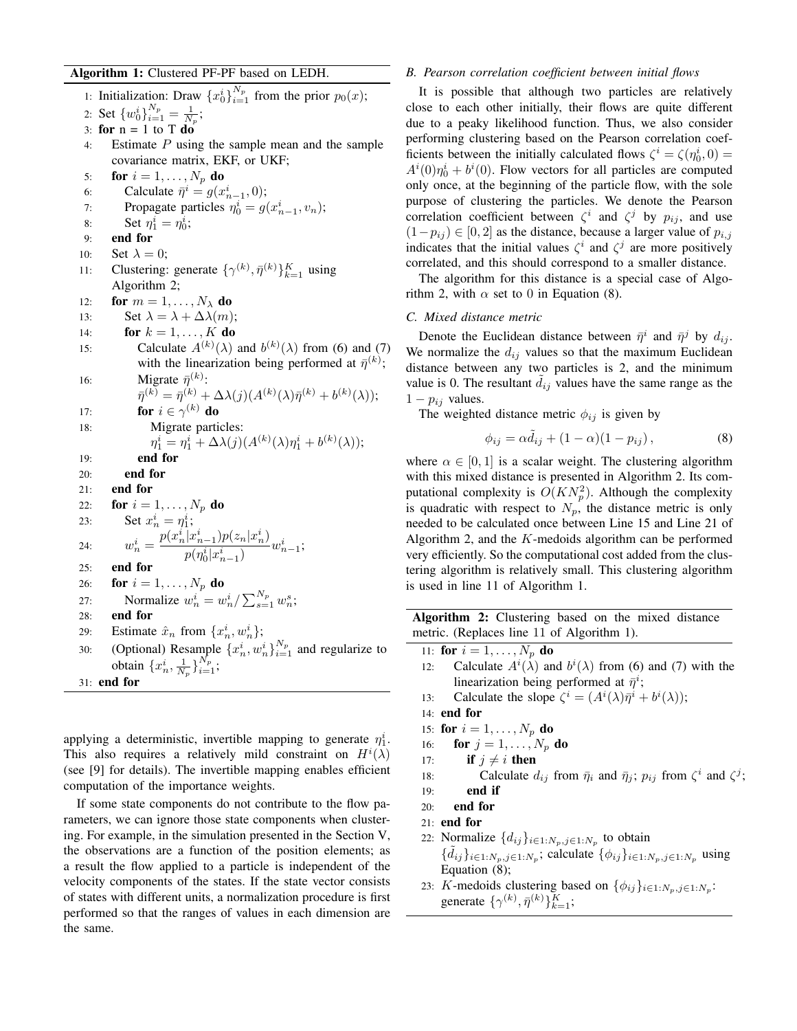# Algorithm 1: Clustered PF-PF based on LEDH.

1: Initialization: Draw  $\{x_0^i\}_{i=1}^{N_p}$  from the prior  $p_0(x)$ ; 2: Set  $\{w_0^i\}_{i=1}^{N_p} = \frac{1}{N_p};$ 3: for  $n = 1$  to T do 4: Estimate P using the sample mean and the sample covariance matrix, EKF, or UKF; 5: for  $i = 1, \ldots, N_p$  do 6: Calculate  $\bar{\eta}^i = g(x_{n-1}^i, 0);$ 7: Propagate particles  $\eta_0^i = g(x_{n-1}^i, v_n)$ ; 8: Set  $\eta_1^i = \eta_0^i$ ; 9: end for 10: Set  $\lambda = 0$ ; 11: Clustering: generate  $\{\gamma^{(k)}, \bar{\eta}^{(k)}\}_{k=1}^K$  using Algorithm 2; 12: for  $m = 1, \ldots, N_{\lambda}$  do 13: Set  $\lambda = \lambda + \Delta \lambda(m);$ 14: **for**  $k = 1, ..., K$  **do** 15: Calculate  $A^{(k)}(\lambda)$  and  $b^{(k)}(\lambda)$  from (6) and (7) with the linearization being performed at  $\bar{\eta}^{(k)}$ ; 16: Migrate  $\bar{\eta}^{(k)}$ :  $\bar{\eta}^{(k)} = \bar{\eta}^{(k)} + \Delta \lambda(j) (A^{(k)}(\lambda)\bar{\eta}^{(k)} + b^{(k)}(\lambda));$ 17: **for**  $i \in \gamma^{(k)}$  do 18: Migrate particles:  $\eta_1^i = \eta_1^i + \Delta \lambda(j) (A^{(k)}(\lambda)\eta_1^i + b^{(k)}(\lambda));$ 19: end for 20: end for 21: end for 22: **for**  $i = 1, ..., N_p$  **do** 23: Set  $x_n^i = \eta_1^i$ ; 24:  $w_n^i = \frac{p(x_n^i | x_{n-1}^i)p(z_n | x_n^i)}{p(x_n^i | x_n^i)}$  $\frac{1}{p}(\eta_0^i|x_{n-1}^i)$   $w_{n-1}^i$ ; 25: end for 26: **for**  $i = 1, \ldots, N_p$  do 27: Normalize  $w_n^i = w_n^i / \sum_{s=1}^{N_p} w_n^s$ ; 28: end for 29: Estimate  $\hat{x}_n$  from  $\{x_n^i, w_n^i\};$ 30: (Optional) Resample  $\{x_n^i, w_n^i\}_{i=1}^{N_p}$  and regularize to obtain  $\{x_n^i, \frac{1}{N_p}\}_{i=1}^{N_p}$ ; 31: end for

applying a deterministic, invertible mapping to generate  $\eta_1^i$ . This also requires a relatively mild constraint on  $H^{i}(\lambda)$ (see [9] for details). The invertible mapping enables efficient computation of the importance weights.

If some state components do not contribute to the flow parameters, we can ignore those state components when clustering. For example, in the simulation presented in the Section V, the observations are a function of the position elements; as a result the flow applied to a particle is independent of the velocity components of the states. If the state vector consists of states with different units, a normalization procedure is first performed so that the ranges of values in each dimension are the same.

### *B. Pearson correlation coefficient between initial flows*

It is possible that although two particles are relatively close to each other initially, their flows are quite different due to a peaky likelihood function. Thus, we also consider performing clustering based on the Pearson correlation coefficients between the initially calculated flows  $\zeta^i = \zeta(\eta_0^i, 0)$  =  $A^{i}(0)\eta_{0}^{i} + b^{i}(0)$ . Flow vectors for all particles are computed only once, at the beginning of the particle flow, with the sole purpose of clustering the particles. We denote the Pearson correlation coefficient between  $\zeta^i$  and  $\zeta^j$  by  $p_{ij}$ , and use  $(1-p_{ij}) \in [0,2]$  as the distance, because a larger value of  $p_{i,j}$ indicates that the initial values  $\zeta^i$  and  $\zeta^j$  are more positively correlated, and this should correspond to a smaller distance.

The algorithm for this distance is a special case of Algorithm 2, with  $\alpha$  set to 0 in Equation (8).

# *C. Mixed distance metric*

Denote the Euclidean distance between  $\bar{\eta}^i$  and  $\bar{\eta}^j$  by  $d_{ij}$ . We normalize the  $d_{ij}$  values so that the maximum Euclidean distance between any two particles is 2, and the minimum value is 0. The resultant  $d_{ij}$  values have the same range as the  $1 - p_{ij}$  values.

The weighted distance metric  $\phi_{ij}$  is given by

$$
\phi_{ij} = \alpha \tilde{d}_{ij} + (1 - \alpha)(1 - p_{ij}), \qquad (8)
$$

where  $\alpha \in [0, 1]$  is a scalar weight. The clustering algorithm with this mixed distance is presented in Algorithm 2. Its computational complexity is  $O(KN_p^2)$ . Although the complexity is quadratic with respect to  $N_p$ , the distance metric is only needed to be calculated once between Line 15 and Line 21 of Algorithm 2, and the  $K$ -medoids algorithm can be performed very efficiently. So the computational cost added from the clustering algorithm is relatively small. This clustering algorithm is used in line 11 of Algorithm 1.

Algorithm 2: Clustering based on the mixed distance metric. (Replaces line 11 of Algorithm 1).

- 11: for  $i=1,\ldots,N_p$  do
- 12: Calculate  $A^i(\lambda)$  and  $b^i(\lambda)$  from (6) and (7) with the linearization being performed at  $\bar{\eta}^i$ ;
- 13: Calculate the slope  $\zeta^i = (A^i(\lambda)\bar{\eta}^i + b^i(\lambda));$
- 14: end for
- 15: **for**  $i = 1, ..., N_p$  **do**
- 16: **for**  $j = 1, \ldots, N_p$  **do**
- 17: if  $j \neq i$  then
- 18: Calculate  $d_{ij}$  from  $\bar{\eta}_i$  and  $\bar{\eta}_j$ ;  $p_{ij}$  from  $\zeta^i$  and  $\zeta^j$ ;
- $19:$  end if
- 20: end for
- 21: end for
- 22: Normalize  $\{d_{ij}\}_{i\in 1:N_p, j\in 1:N_p}$  to obtain  $\{\tilde{d}_{ij}\}_{i\in 1:N_p, j\in 1:N_p}$ ; calculate  $\{\phi_{ij}\}_{i\in 1:N_p, j\in 1:N_p}$  using Equation (8);
- 23: K-medoids clustering based on  $\{\phi_{ij}\}_{i\in 1:N_p,j\in 1:N_p}$ : generate  $\{\gamma^{(k)}, \bar{\eta}^{(k)}\}_{k=1}^{K}$ ;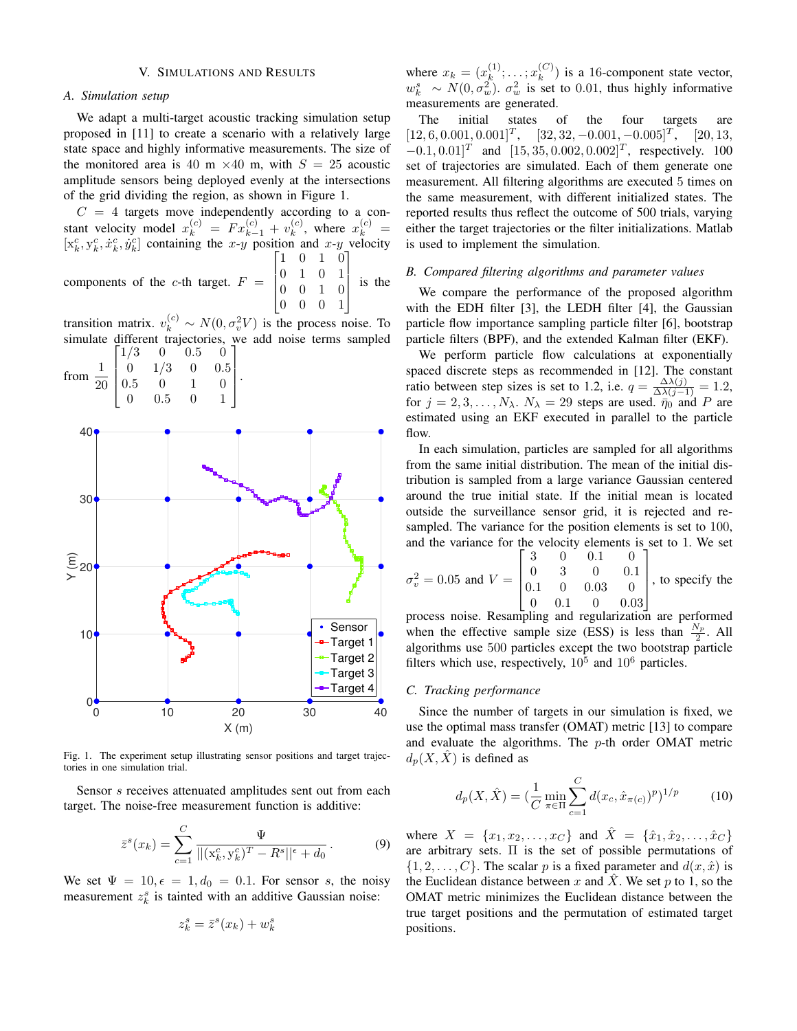# V. SIMULATIONS AND RESULTS

### *A. Simulation setup*

We adapt a multi-target acoustic tracking simulation setup proposed in [11] to create a scenario with a relatively large state space and highly informative measurements. The size of the monitored area is 40 m  $\times$  40 m, with  $S = 25$  acoustic amplitude sensors being deployed evenly at the intersections of the grid dividing the region, as shown in Figure 1.

 $C = 4$  targets move independently according to a constant velocity model  $x_k^{(c)} = F x_{k-1}^{(c)} + v_k^{(c)}$  $\binom{c}{k}$ , where  $x_k^{(c)} =$  $[x_k^c, y_k^c, \dot{x}_k^c, \dot{y}_k^c]$  containing the x-y position and x-y velocity components of the c-th target.  $F =$  $\sqrt{ }$  $\Big\}$ 1 0 1 0 0 1 0 1 0 0 1 0 1  $\Big\}$ is the

0 0 0 1 transition matrix.  $v_k^{(c)} \sim N(0, \sigma_v^2 V)$  is the process noise. To simulate different trajectories, we add noise terms sampled<br> $\begin{bmatrix} 1/3 & 0 & 0.5 & 0 \end{bmatrix}$ 



Fig. 1. The experiment setup illustrating sensor positions and target trajectories in one simulation trial.

Sensor s receives attenuated amplitudes sent out from each target. The noise-free measurement function is additive:

$$
\bar{z}^{s}(x_{k}) = \sum_{c=1}^{C} \frac{\Psi}{||(x_{k}^{c}, y_{k}^{c})^{T} - R^{s}||^{\epsilon} + d_{0}}.
$$
 (9)

We set  $\Psi = 10, \epsilon = 1, d_0 = 0.1$ . For sensor s, the noisy measurement  $z_k^s$  is tainted with an additive Gaussian noise:

$$
z_k^s = \bar{z}^s(x_k) + w_k^s
$$

where  $x_k = (x_k^{(1)})$  $\binom{(1)}{k}; \ldots; x_k^{(C)}$  $\binom{C}{k}$  is a 16-component state vector,  $w_k^s \sim N(0, \sigma_w^2)$ .  $\sigma_w^2$  is set to 0.01, thus highly informative measurements are generated.

The initial states of the four targets are  $[12, 6, 0.001, 0.001]^T$ ,  $[32, 32, -0.001, -0.005]^T$ ,  $[20, 13,$  $[-0.1, 0.01]^T$  and  $[15, 35, 0.002, 0.002]^T$ , respectively. 100 set of trajectories are simulated. Each of them generate one measurement. All filtering algorithms are executed 5 times on the same measurement, with different initialized states. The reported results thus reflect the outcome of 500 trials, varying either the target trajectories or the filter initializations. Matlab is used to implement the simulation.

### *B. Compared filtering algorithms and parameter values*

We compare the performance of the proposed algorithm with the EDH filter [3], the LEDH filter [4], the Gaussian particle flow importance sampling particle filter [6], bootstrap particle filters (BPF), and the extended Kalman filter (EKF).

We perform particle flow calculations at exponentially spaced discrete steps as recommended in [12]. The constant ratio between step sizes is set to 1.2, i.e.  $q = \frac{\Delta \lambda(j)}{\Delta \lambda(j-1)} = 1.2$ , for  $j = 2, 3, ..., N_{\lambda}$ .  $N_{\lambda} = 29$  steps are used.  $\bar{\eta}_0^{\circ}$  and P are estimated using an EKF executed in parallel to the particle flow.

In each simulation, particles are sampled for all algorithms from the same initial distribution. The mean of the initial distribution is sampled from a large variance Gaussian centered around the true initial state. If the initial mean is located outside the surveillance sensor grid, it is rejected and resampled. The variance for the position elements is set to 100, and the variance for the velocity elements is set to 1. We set

$$
\sigma_v^2 = 0.05 \text{ and } V = \begin{bmatrix} 3 & 0 & 0.1 & 0 \\ 0 & 3 & 0 & 0.1 \\ 0.1 & 0 & 0.03 & 0 \\ 0 & 0.1 & 0 & 0.03 \end{bmatrix}, \text{ to specify the}
$$

process noise. Resampling and regularization are performed when the effective sample size (ESS) is less than  $\frac{N_p}{2}$ . All algorithms use 500 particles except the two bootstrap particle filters which use, respectively,  $10^5$  and  $10^6$  particles.

#### *C. Tracking performance*

Since the number of targets in our simulation is fixed, we use the optimal mass transfer (OMAT) metric [13] to compare and evaluate the algorithms. The p-th order OMAT metric  $d_p(X, \hat{X})$  is defined as

$$
d_p(X, \hat{X}) = \left(\frac{1}{C} \min_{\pi \in \Pi} \sum_{c=1}^{C} d(x_c, \hat{x}_{\pi(c)})^p\right)^{1/p} \tag{10}
$$

where  $X = \{x_1, x_2, \dots, x_C\}$  and  $\hat{X} = \{\hat{x}_1, \hat{x}_2, \dots, \hat{x}_C\}$ are arbitrary sets. Π is the set of possible permutations of  $\{1, 2, \ldots, C\}$ . The scalar p is a fixed parameter and  $d(x, \hat{x})$  is the Euclidean distance between x and  $\hat{X}$ . We set p to 1, so the OMAT metric minimizes the Euclidean distance between the true target positions and the permutation of estimated target positions.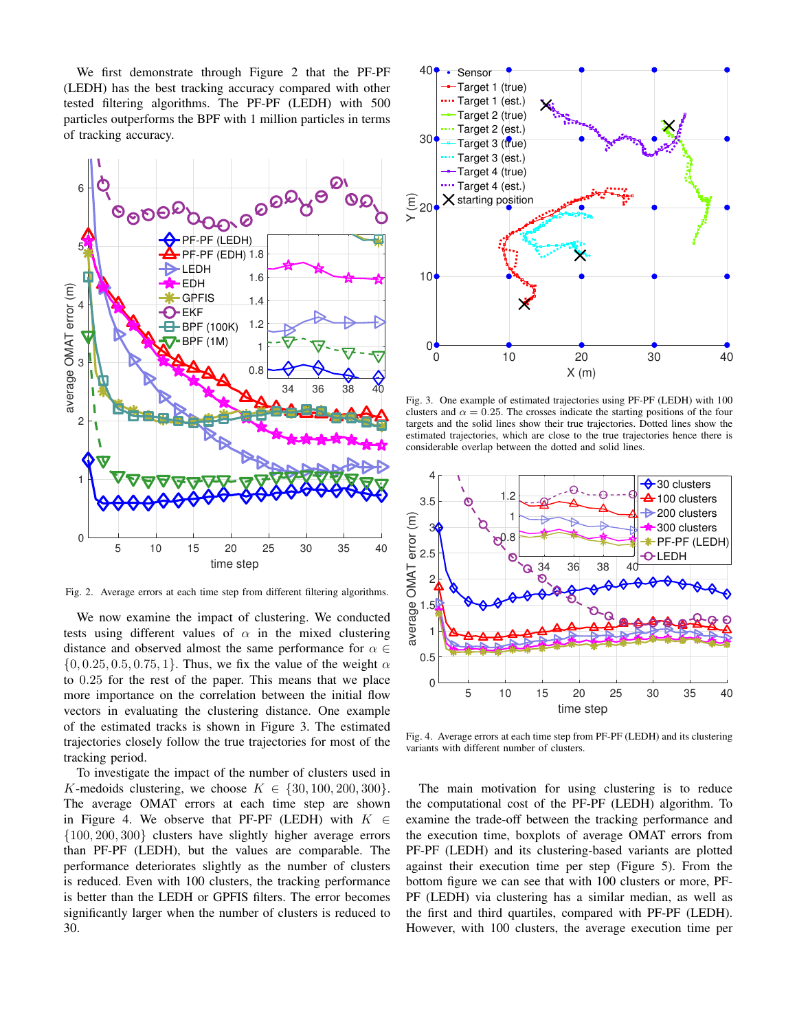We first demonstrate through Figure 2 that the PF-PF (LEDH) has the best tracking accuracy compared with other tested filtering algorithms. The PF-PF (LEDH) with 500 particles outperforms the BPF with 1 million particles in terms of tracking accuracy.



Fig. 2. Average errors at each time step from different filtering algorithms.

We now examine the impact of clustering. We conducted tests using different values of  $\alpha$  in the mixed clustering distance and observed almost the same performance for  $\alpha \in$  $\{0, 0.25, 0.5, 0.75, 1\}$ . Thus, we fix the value of the weight  $\alpha$ to 0.25 for the rest of the paper. This means that we place more importance on the correlation between the initial flow vectors in evaluating the clustering distance. One example of the estimated tracks is shown in Figure 3. The estimated trajectories closely follow the true trajectories for most of the tracking period.

To investigate the impact of the number of clusters used in K-medoids clustering, we choose  $K \in \{30, 100, 200, 300\}.$ The average OMAT errors at each time step are shown in Figure 4. We observe that PF-PF (LEDH) with  $K \in$ {100, 200, 300} clusters have slightly higher average errors than PF-PF (LEDH), but the values are comparable. The performance deteriorates slightly as the number of clusters is reduced. Even with 100 clusters, the tracking performance is better than the LEDH or GPFIS filters. The error becomes significantly larger when the number of clusters is reduced to 30.



Fig. 3. One example of estimated trajectories using PF-PF (LEDH) with 100 clusters and  $\alpha = 0.25$ . The crosses indicate the starting positions of the four targets and the solid lines show their true trajectories. Dotted lines show the estimated trajectories, which are close to the true trajectories hence there is considerable overlap between the dotted and solid lines.



Fig. 4. Average errors at each time step from PF-PF (LEDH) and its clustering variants with different number of clusters.

The main motivation for using clustering is to reduce the computational cost of the PF-PF (LEDH) algorithm. To examine the trade-off between the tracking performance and the execution time, boxplots of average OMAT errors from PF-PF (LEDH) and its clustering-based variants are plotted against their execution time per step (Figure 5). From the bottom figure we can see that with 100 clusters or more, PF-PF (LEDH) via clustering has a similar median, as well as the first and third quartiles, compared with PF-PF (LEDH). However, with 100 clusters, the average execution time per